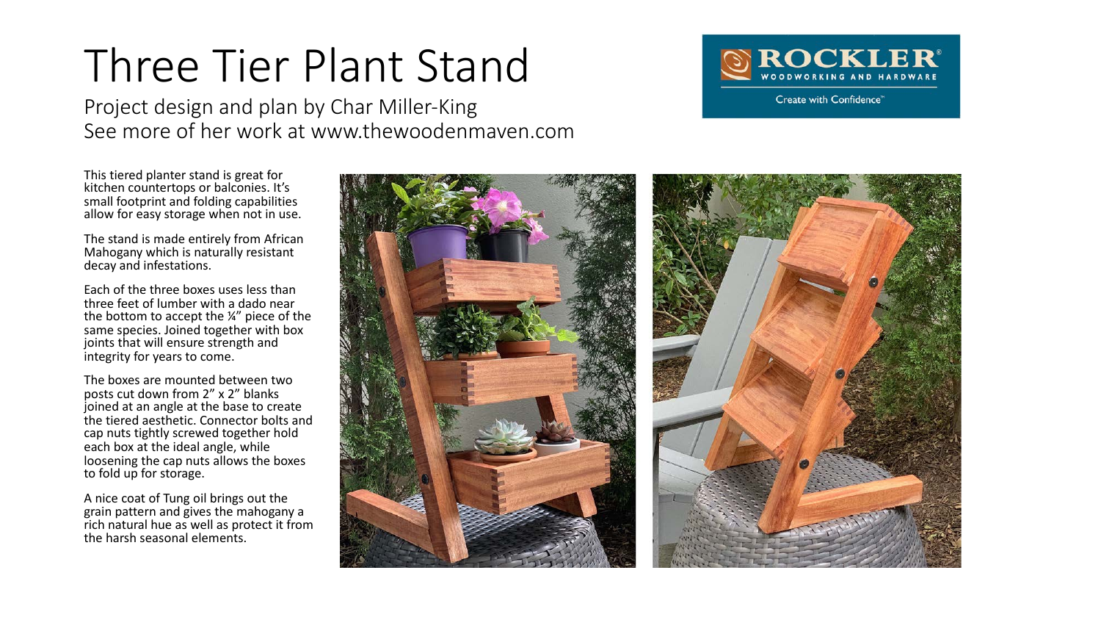## Three Tier Plant Stand

Project design and plan by Char Miller-King See more of her work at www.thewoodenmaven.com



This tiered planter stand is great for kitchen countertops or balconies. It's small footprint and folding capabilities allow for easy storage when not in use.

The stand is made entirely from African Mahogany which is naturally resistant decay and infestations.

Each of the three boxes uses less than three feet of lumber with a dado near the bottom to accept the ¼" piece of the same species. Joined together with box joints that will ensure strength and integrity for years to come.

The boxes are mounted between two posts cut down from 2" x 2" blanks joined at an angle at the base to create the tiered aesthetic. Connector bolts and cap nuts tightly screwed together hold each box at the ideal angle, while loosening the cap nuts allows the boxes to fold up for storage.

A nice coat of Tung oil brings out the grain pattern and gives the mahogany a rich natural hue as well as protect it from the harsh seasonal elements.

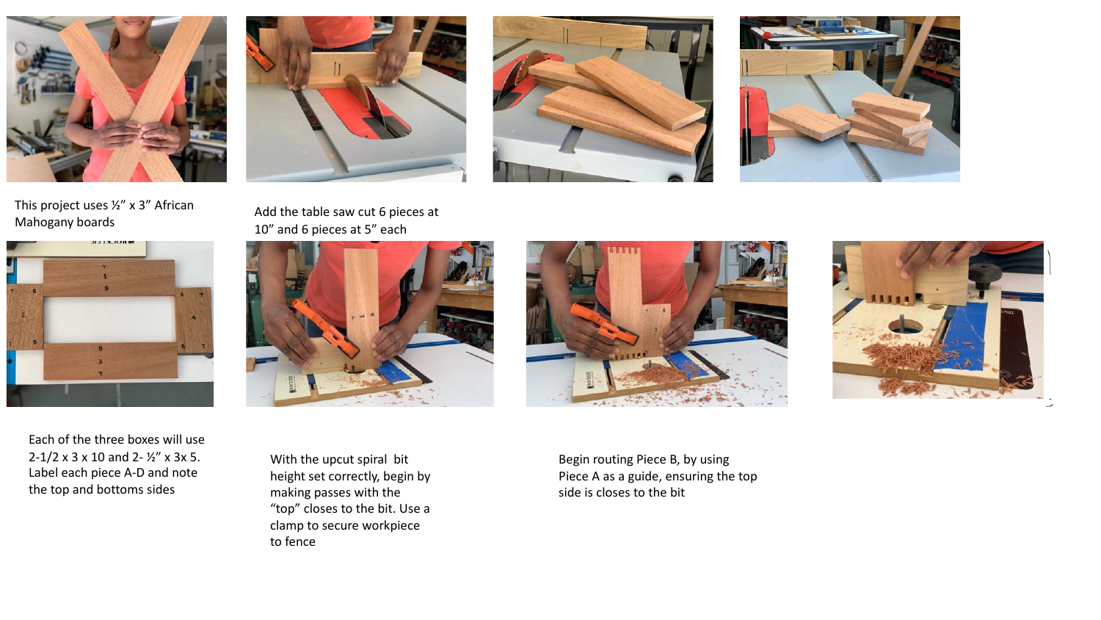





Each of the three boxes will use 2-1/2 x 3 x 10 and 2- ½" x 3x 5. Label each piece A-D and note the top and bottoms sides











With the upcut spiral bit height set correctly, begin by making passes with the "top" closes to the bit. Use a clamp to secure workpiece to fence





Begin routing Piece B, by using Piece A as a guide, ensuring the top side is closes to the bit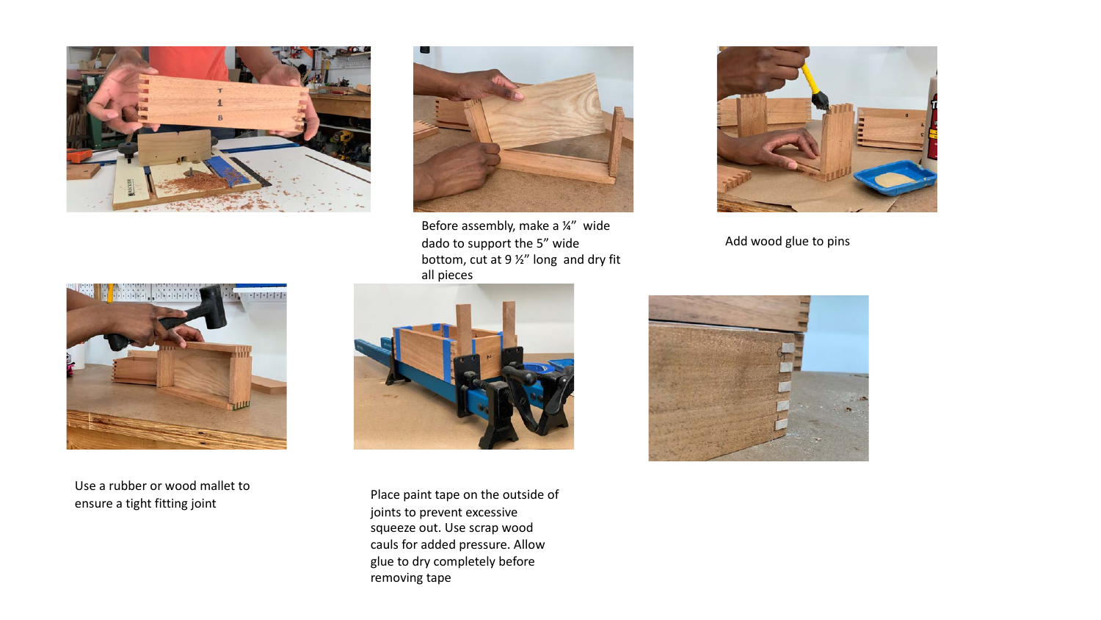



Before assembly, make a ¼" wide dado to support the 5" wide bottom, cut at 9 ½" long and dry fit all pieces



Add wood glue to pins



Use a rubber or wood mallet to ensure a tight fitting joint and the paint tape on the outside of ensure a tight fitting joint



joints to prevent excessive squeeze out. Use scrap wood cauls for added pressure. Allow glue to dry completely before removing tape

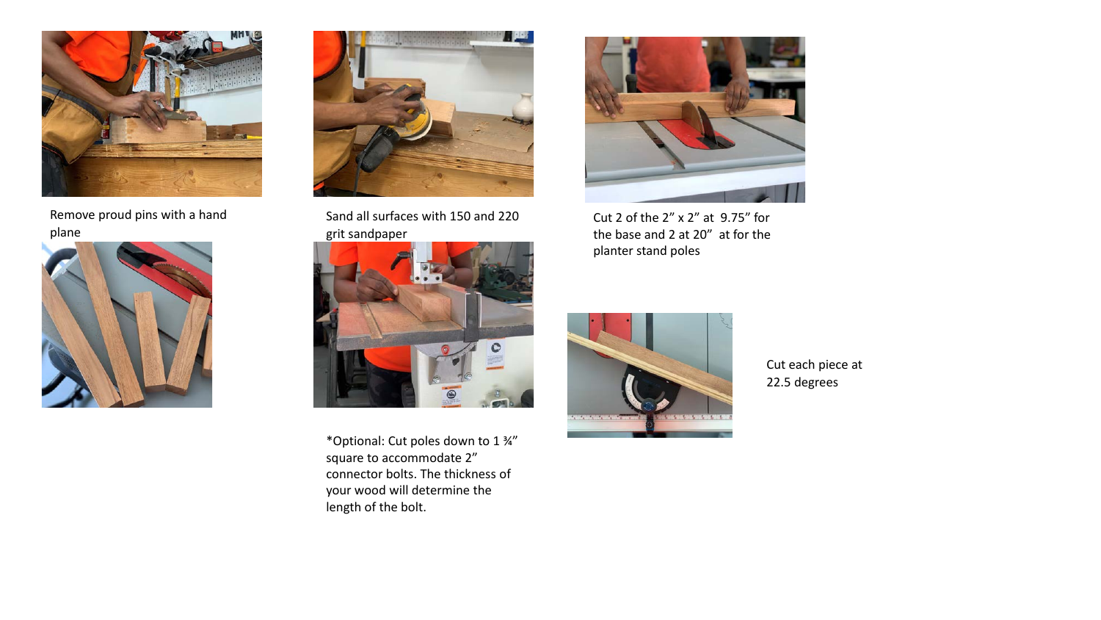

Remove proud pins with a hand plane





Sand all surfaces with 150 and 220 grit sandpaper



\*Optional: Cut poles down to 1 ¾" square to accommodate 2" connector bolts. The thickness of your wood will determine the length of the bolt.



Cut 2 of the 2" x 2" at 9.75" for the base and 2 at 20" at for the planter stand poles



Cut each piece at 22.5 degrees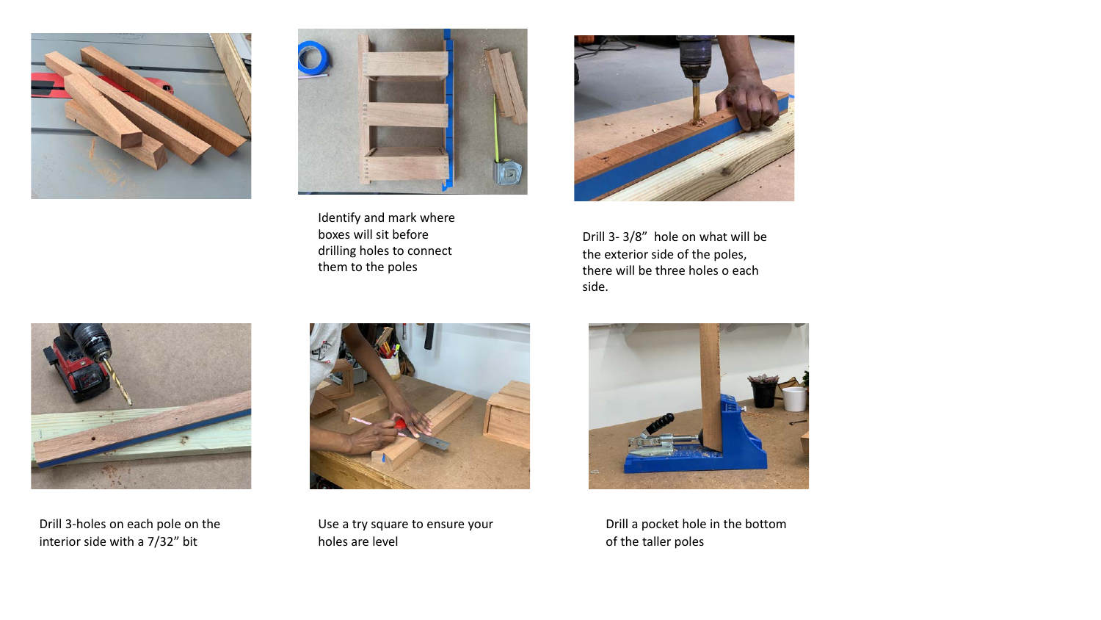



Identify and mark where boxes will sit before drilling holes to connect them to the poles



Drill 3- 3/8" hole on what will be the exterior side of the poles, there will be three holes o each side.



Drill 3-holes on each pole on the interior side with a 7/32" bit



Use a try square to ensure your holes are level



Drill a pocket hole in the bottom of the taller poles